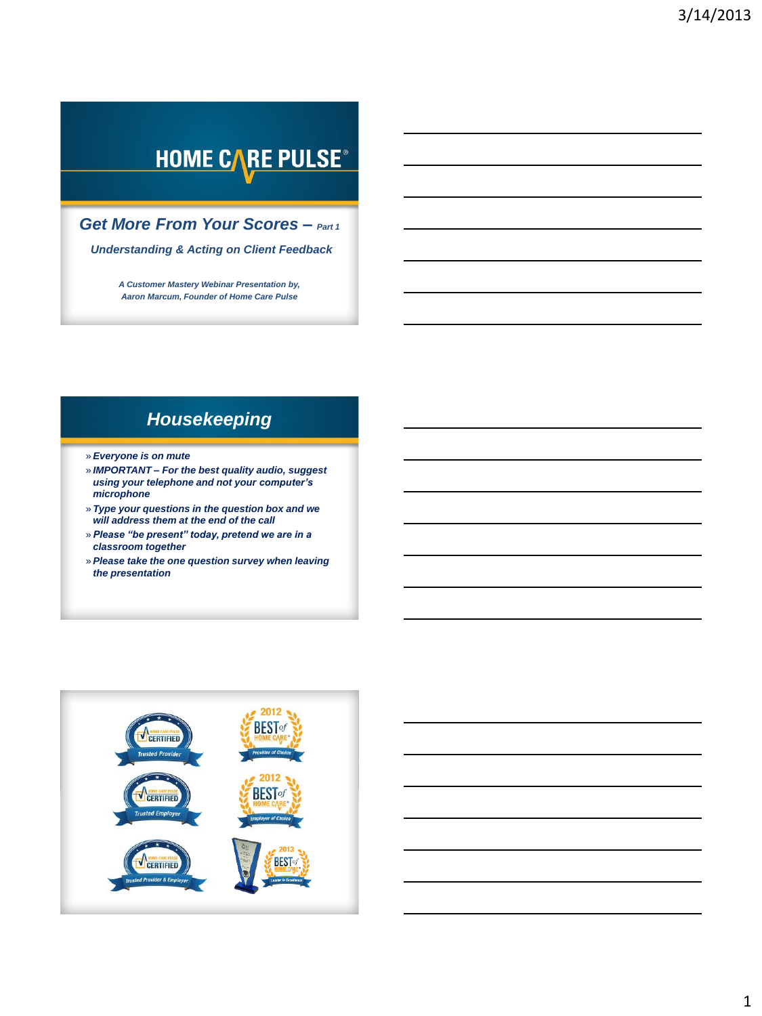# **HOME CARE PULSE®**

*Get More From Your Scores – Part 1*

*Understanding & Acting on Client Feedback*

*A Customer Mastery Webinar Presentation by, Aaron Marcum, Founder of Home Care Pulse*

### *Housekeeping*

- » *Everyone is on mute*
- » *IMPORTANT – For the best quality audio, suggest using your telephone and not your computer's microphone*
- » *Type your questions in the question box and we will address them at the end of the call*
- » *Please "be present" today, pretend we are in a classroom together*
- » *Please take the one question survey when leaving the presentation*

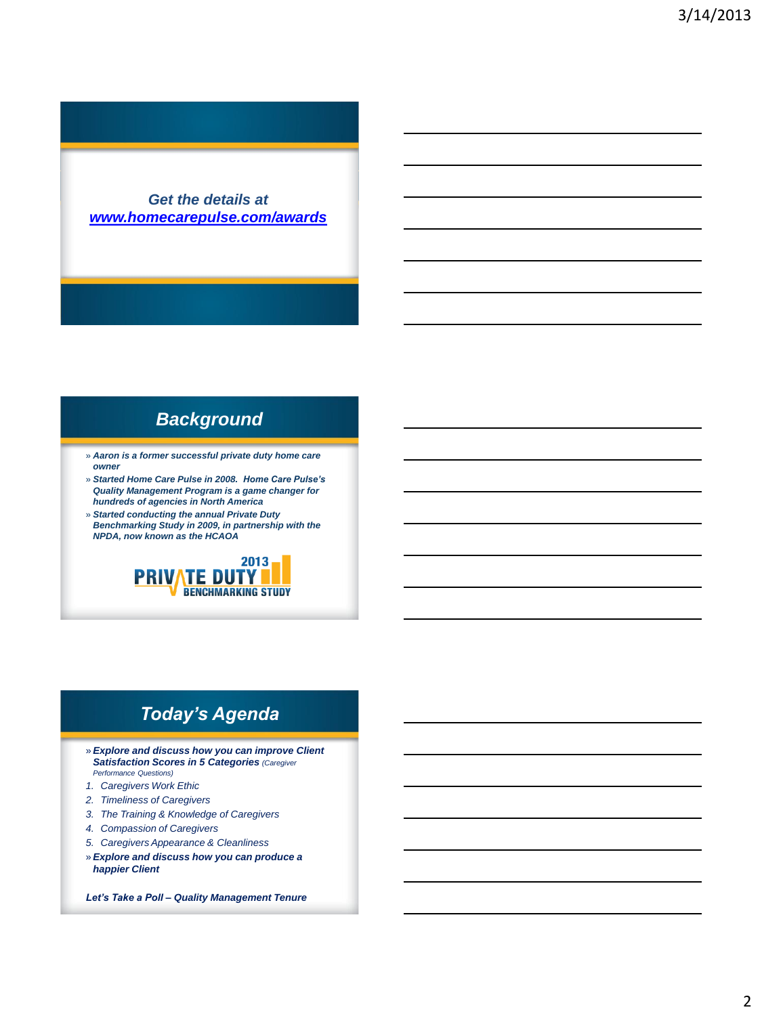*Get the details at [www.homecarepulse.com/awards](http://www.homecarepulse.com/awards)*

### *Background*

- » *Aaron is a former successful private duty home care owner*
- » *Started Home Care Pulse in 2008. Home Care Pulse's Quality Management Program is a game changer for hundreds of agencies in North America*
- » *Started conducting the annual Private Duty Benchmarking Study in 2009, in partnership with the NPDA, now known as the HCAOA*



### *Today's Agenda*

- » *Explore and discuss how you can improve Client Satisfaction Scores in 5 Categories (Caregiver Performance Questions)*
- *1. Caregivers Work Ethic*
- *2. Timeliness of Caregivers*
- *3. The Training & Knowledge of Caregivers*
- *4. Compassion of Caregivers*
- *5. Caregivers Appearance & Cleanliness*
- » *Explore and discuss how you can produce a happier Client*

*Let's Take a Poll – Quality Management Tenure*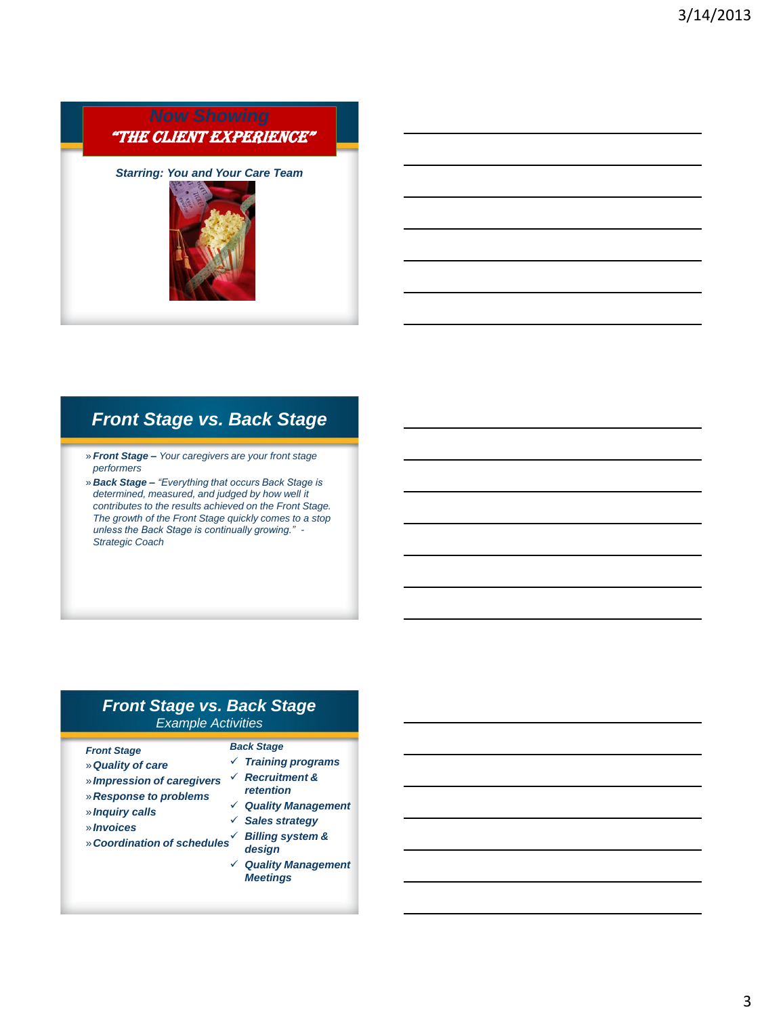

## *Front Stage vs. Back Stage*

- » *Front Stage – Your caregivers are your front stage performers*
- » *Back Stage – "Everything that occurs Back Stage is determined, measured, and judged by how well it contributes to the results achieved on the Front Stage. The growth of the Front Stage quickly comes to a stop unless the Back Stage is continually growing." - Strategic Coach*

#### *Front Stage vs. Back Stage Example Activities*

#### *Front Stage*

- »*Quality of care* »*Impression of caregivers*
- »*Response to problems*
- »*Inquiry calls*
- »*Invoices*
- »*Coordination of schedules Billing system &*
- *Back Stage Training programs Recruitment & retention*
- *Quality Management*
- *Sales strategy*
	- *design*
	- *Quality Management Meetings*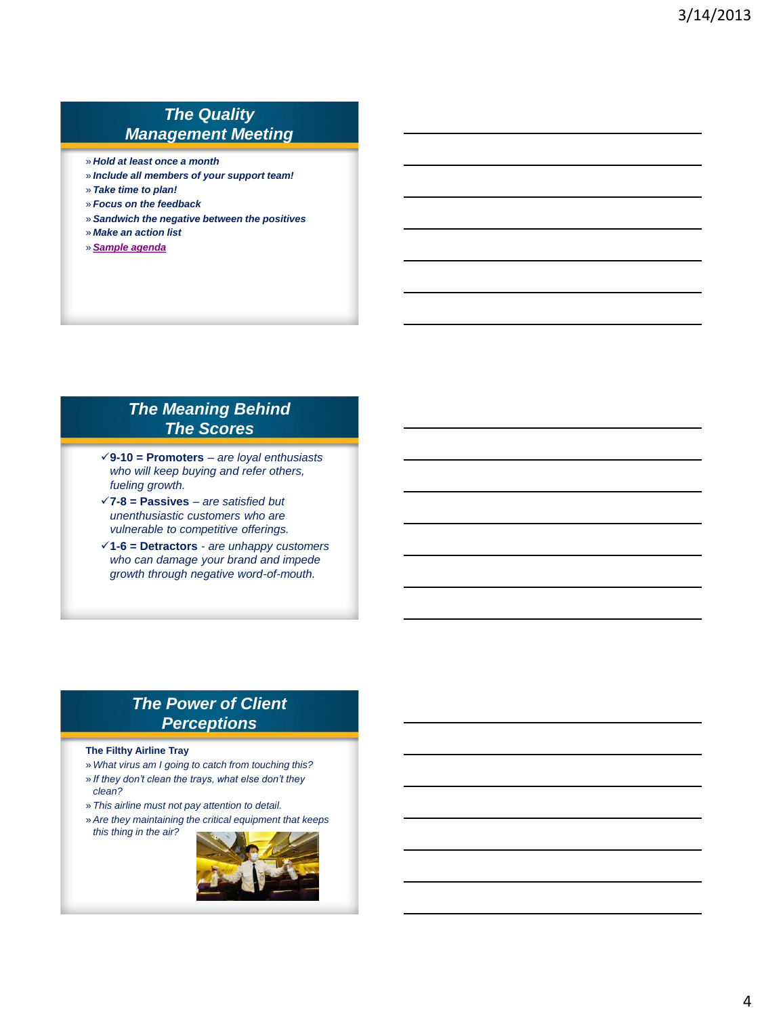### *The Quality Management Meeting*

- » *Hold at least once a month*
- » *Include all members of your support team!*
- » *Take time to plan!*
- » *Focus on the feedback*
- » *Sandwich the negative between the positives*
- » *Make an action list*
- » *[Sample agenda](//HCPSERVER/HCP Office/Education/Handouts and Tools/Quality Satisfaction Meeting Agenda  Sample.pdf)*

### *The Meaning Behind The Scores*

- **9-10 = Promoters**  *are loyal enthusiasts who will keep buying and refer others, fueling growth.*
- **7-8 = Passives**  *are satisfied but unenthusiastic customers who are vulnerable to competitive offerings.*
- **1-6 = Detractors**  *are unhappy customers who can damage your brand and impede growth through negative word-of-mouth.*

### *The Power of Client Perceptions*

#### **The Filthy Airline Tray**

- » *What virus am I going to catch from touching this?*
- » *If they don't clean the trays, what else don't they clean?*
- » *This airline must not pay attention to detail.*
- » *Are they maintaining the critical equipment that keeps this thing in the air?*

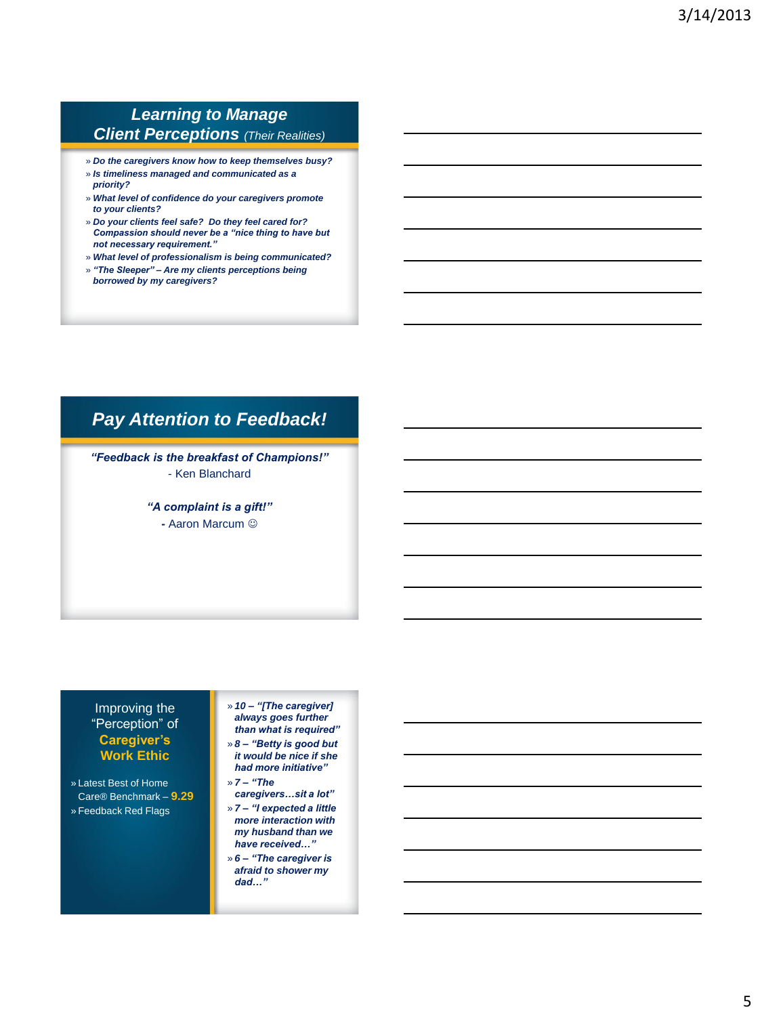### *Learning to Manage Client Perceptions (Their Realities)*

- » *Do the caregivers know how to keep themselves busy?*
- » *Is timeliness managed and communicated as a priority?*
- » *What level of confidence do your caregivers promote to your clients?*
- » *Do your clients feel safe? Do they feel cared for? Compassion should never be a "nice thing to have but not necessary requirement."*
- » *What level of professionalism is being communicated?*
- » *"The Sleeper" – Are my clients perceptions being borrowed by my caregivers?*

### *Pay Attention to Feedback!*

*"Feedback is the breakfast of Champions!"*  - Ken Blanchard

> *"A complaint is a gift!" -* Aaron Marcum

#### Improving the "Perception" of **Caregiver's Work Ethic**

» Latest Best of Home Care® Benchmark – **9.29**

» Feedback Red Flags

» *10 – "[The caregiver] always goes further than what is required"*

- » *8 – "Betty is good but it would be nice if she had more initiative"*
- » *7 – "The caregivers…sit a lot"*

» *7 – "I expected a little more interaction with my husband than we have received…"*

» *6 – "The caregiver is afraid to shower my dad…"*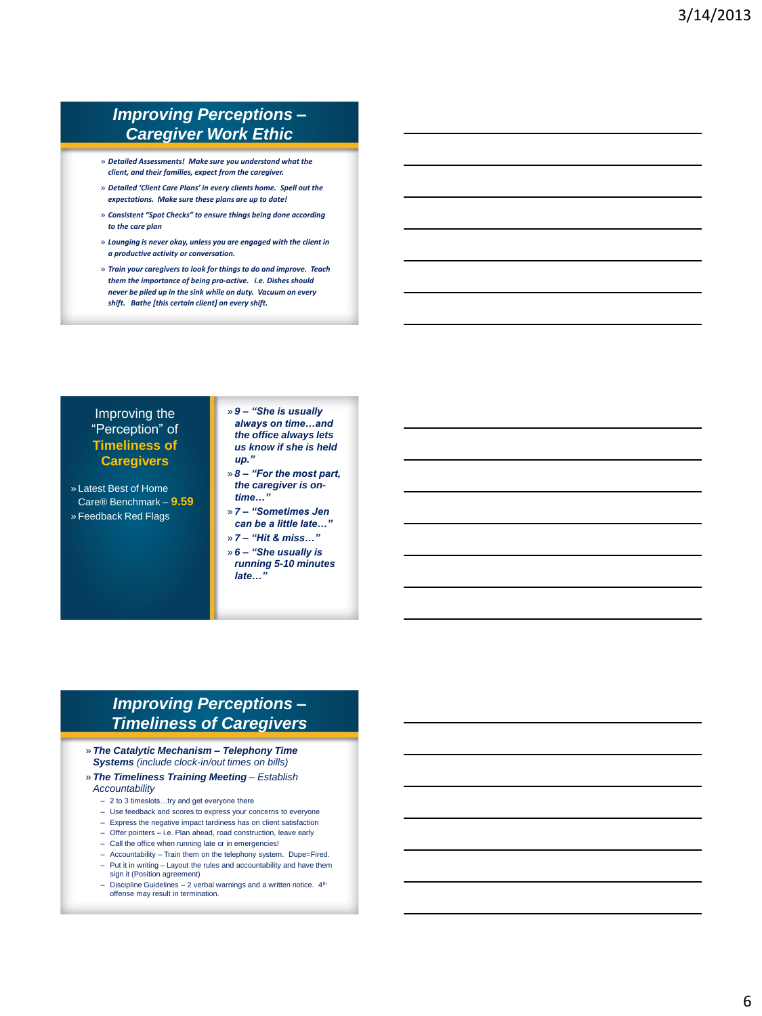### *Improving Perceptions – Caregiver Work Ethic*

- » *Detailed Assessments! Make sure you understand what the client, and their families, expect from the caregiver.*
- » *Detailed 'Client Care Plans' in every clients home. Spell out the expectations. Make sure these plans are up to date!*
- » *Consistent "Spot Checks" to ensure things being done according to the care plan*
- » *Lounging is never okay, unless you are engaged with the client in a productive activity or conversation.*
- » *Train your caregivers to look for things to do and improve. Teach them the importance of being pro-active. i.e. Dishes should never be piled up in the sink while on duty. Vacuum on every shift. Bathe [this certain client] on every shift.*

#### Improving the "Perception" of **Timeliness of Caregivers**

- » Latest Best of Home Care® Benchmark – **9.59** » Feedback Red Flags
- » *9 – "She is usually always on time…and the office always lets us know if she is held up."*
- » *8 – "For the most part, the caregiver is ontime…"*
- » *7 – "Sometimes Jen can be a little late…"*
- » *7 – "Hit & miss…"*
- » *6 – "She usually is running 5-10 minutes late…"*

### *Improving Perceptions – Timeliness of Caregivers*

» *The Catalytic Mechanism – Telephony Time Systems (include clock-in/out times on bills)*

#### » *The Timeliness Training Meeting – Establish Accountability*

- 2 to 3 timeslots…try and get everyone there
- Use feedback and scores to express your concerns to everyone
- Express the negative impact tardiness has on client satisfaction
- Offer pointers i.e. Plan ahead, road construction, leave early
- Call the office when running late or in emergencies!
- Accountability Train them on the telephony system. Dupe=Fired. – Put it in writing – Layout the rules and accountability and have them
- sign it (Position agreement) – Discipline Guidelines – 2 verbal warnings and a written notice. 4th offense may result in termination.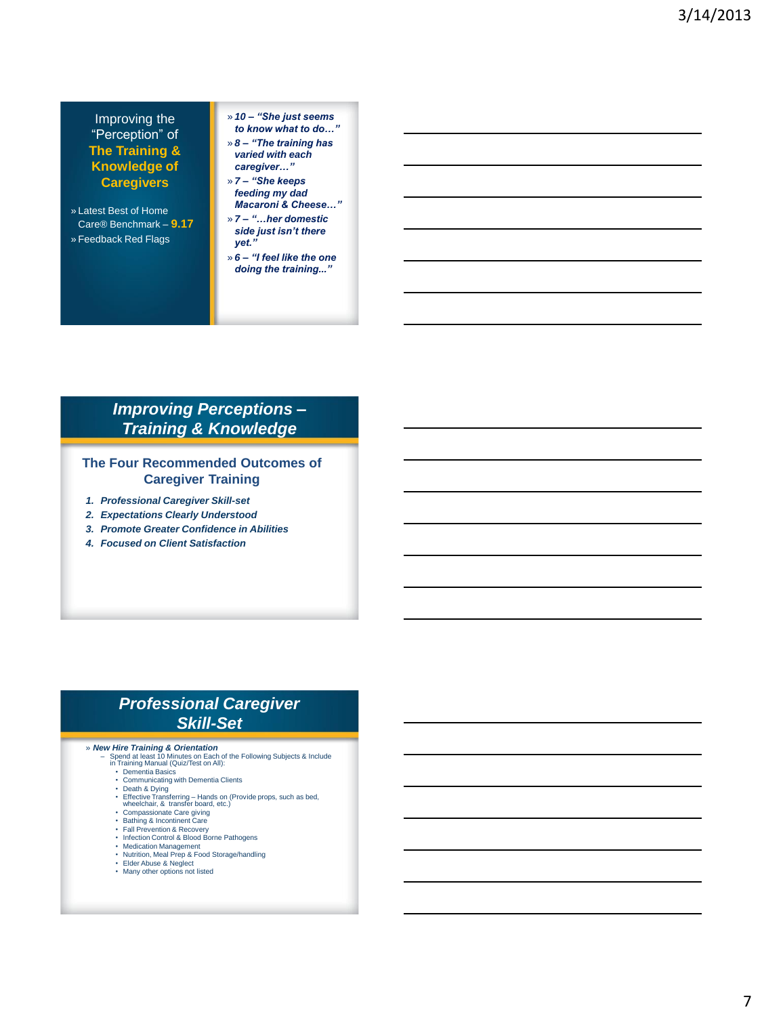#### Improving the "Perception" of **The Training & Knowledge of Caregivers**

- » Latest Best of Home Care® Benchmark – **9.17** » Feedback Red Flags
- » *10 – "She just seems to know what to do…"*
- » *8 – "The training has varied with each*

*caregiver…"* » *7 – "She keeps feeding my dad Macaroni & Cheese…"*

- » *7 – "…her domestic side just isn't there yet."*
- » *6 – "I feel like the one doing the training..."*

### *Improving Perceptions – Training & Knowledge*

#### **The Four Recommended Outcomes of Caregiver Training**

- *1. Professional Caregiver Skill-set*
- *2. Expectations Clearly Understood*
- *3. Promote Greater Confidence in Abilities*
- *4. Focused on Client Satisfaction*

#### *Professional Caregiver Skill-Set*

- » *New Hire Training & Orientation* Spend at least 10 Minutes on Each of the Following Subjects & Include in Training Manual (Quiz/Test on All):
	- **Dementia Basics**
	- Communicating with Dementia Clients
	- Death & Dying
	- Effective Transferring Hands on (Provide props, such as bed, wheelchair, & transfer board, etc.)
	- Compassionate Care giving Bathing & Incontinent Care
	-
	- Fall Prevention & Recovery Infection Control & Blood Borne Pathogens
	-
	- Medication Management Nutrition, Meal Prep & Food Storage/handling
	- Elder Abuse & Neglect Many other options not listed
	-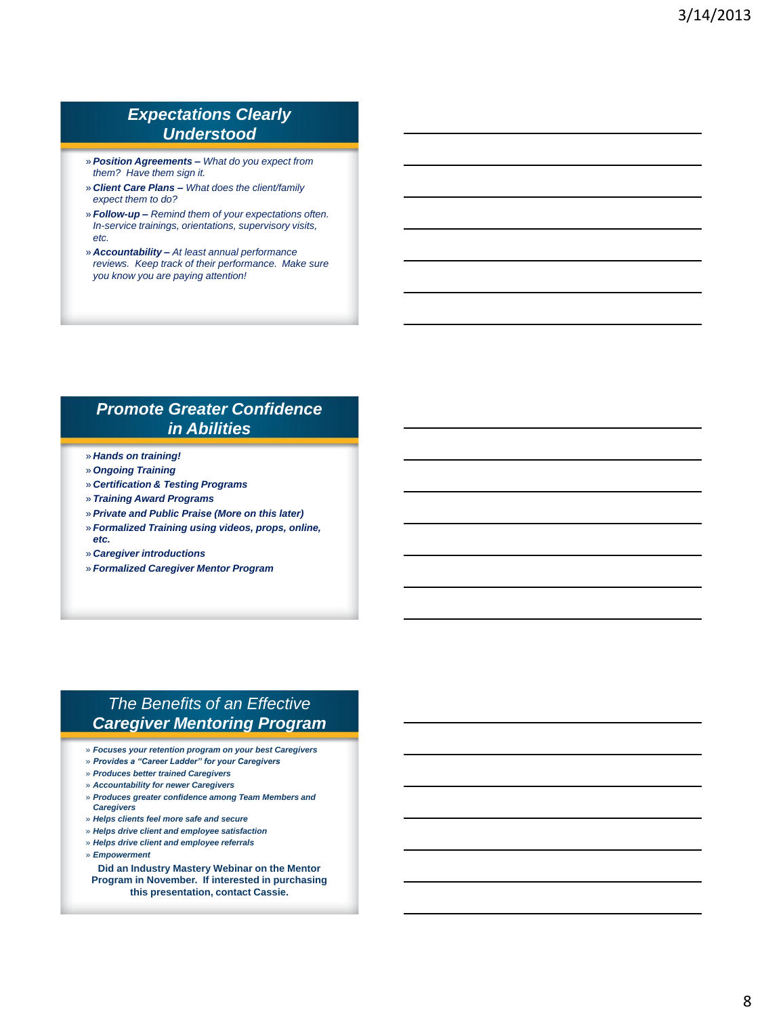#### *Expectations Clearly Understood*

- » *Position Agreements – What do you expect from them? Have them sign it.*
- » *Client Care Plans – What does the client/family expect them to do?*
- » *Follow-up – Remind them of your expectations often. In-service trainings, orientations, supervisory visits, etc.*
- » *Accountability – At least annual performance reviews. Keep track of their performance. Make sure you know you are paying attention!*

#### *Promote Greater Confidence in Abilities*

- » *Hands on training!*
- » *Ongoing Training*
- » *Certification & Testing Programs*
- » *Training Award Programs*
- » *Private and Public Praise (More on this later)*
- » *Formalized Training using videos, props, online, etc.*
- » *Caregiver introductions*
- » *Formalized Caregiver Mentor Program*

### *The Benefits of an Effective Caregiver Mentoring Program*

- » *Focuses your retention program on your best Caregivers*
- » *Provides a "Career Ladder" for your Caregivers*
- » *Produces better trained Caregivers*
- » *Accountability for newer Caregivers*
- » *Produces greater confidence among Team Members and Caregivers*
- » *Helps clients feel more safe and secure*
- » *Helps drive client and employee satisfaction*
- » *Helps drive client and employee referrals*
- » *Empowerment*

**Did an Industry Mastery Webinar on the Mentor Program in November. If interested in purchasing this presentation, contact Cassie.**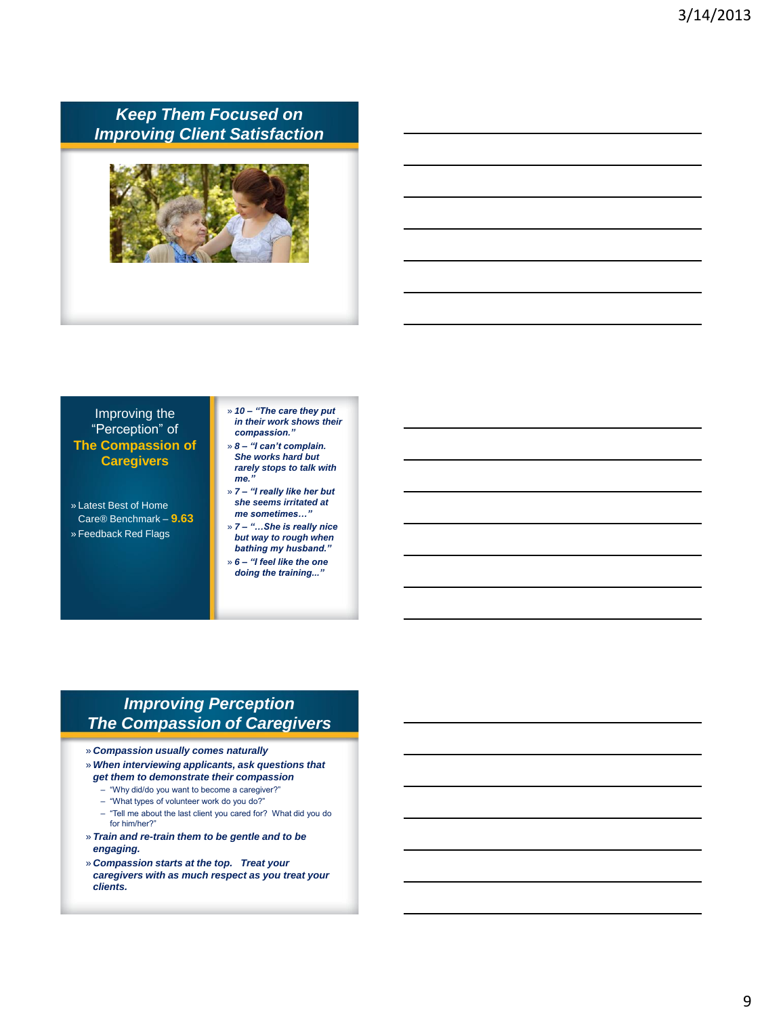### *Keep Them Focused on Improving Client Satisfaction*



#### Improving the "Perception" of **The Compassion of Caregivers**

- » Latest Best of Home Care® Benchmark – **9.63** » Feedback Red Flags
- » *10 – "The care they put in their work shows their compassion."*
- » *8 – "I can't complain. She works hard but rarely stops to talk with me."*
- » *7 – "I really like her but she seems irritated at me sometimes…"*
- » *7 – "…She is really nice but way to rough when bathing my husband."*
- » *6 – "I feel like the one doing the training..."*

### *Improving Perception The Compassion of Caregivers*

- » *Compassion usually comes naturally*
- » *When interviewing applicants, ask questions that get them to demonstrate their compassion*
	- "Why did/do you want to become a caregiver?"
	- "What types of volunteer work do you do?"
	- "Tell me about the last client you cared for? What did you do for him/her?"
- » *Train and re-train them to be gentle and to be engaging.*
- » *Compassion starts at the top. Treat your caregivers with as much respect as you treat your clients.*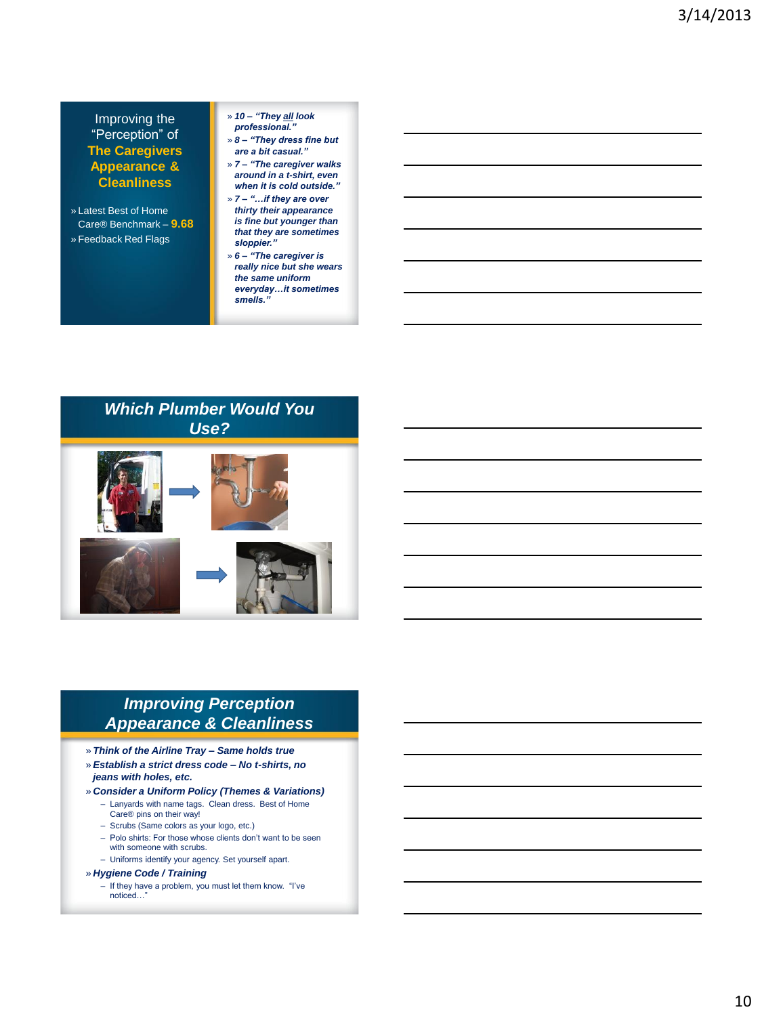#### Improving the "Perception" of **The Caregivers Appearance & Cleanliness**

- » Latest Best of Home Care® Benchmark – **9.68** » Feedback Red Flags
- » *10 – "They all look professional."*

» *8 – "They dress fine but are a bit casual."*

» *7 – "The caregiver walks around in a t-shirt, even when it is cold outside."*

- » *7 – "…if they are over thirty their appearance is fine but younger than that they are sometimes sloppier."*
- » *6 – "The caregiver is really nice but she wears the same uniform everyday…it sometimes smells."*



### *Improving Perception Appearance & Cleanliness*

- » *Think of the Airline Tray – Same holds true*
- » *Establish a strict dress code – No t-shirts, no jeans with holes, etc.*
- » *Consider a Uniform Policy (Themes & Variations)*
	- Lanyards with name tags. Clean dress. Best of Home Care® pins on their way!
	- Scrubs (Same colors as your logo, etc.)
	- Polo shirts: For those whose clients don't want to be seen with someone with scrubs.
	- Uniforms identify your agency. Set yourself apart.

#### » *Hygiene Code / Training*

– If they have a problem, you must let them know. "I've noticed...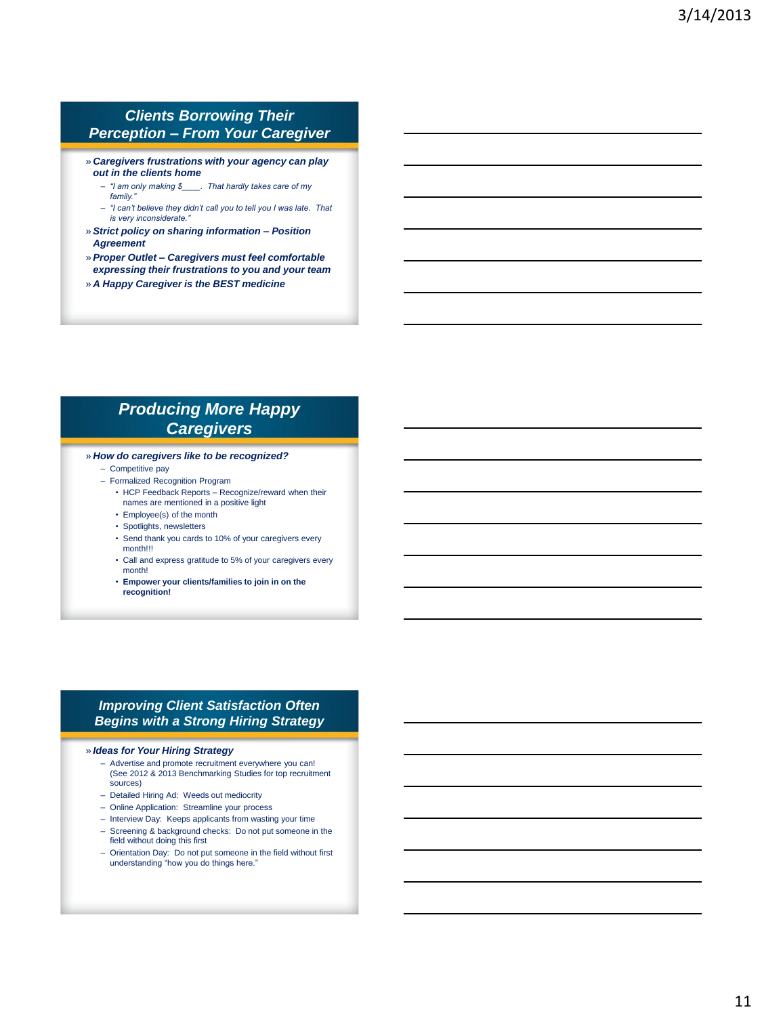#### *Clients Borrowing Their Perception – From Your Caregiver*

- » *Caregivers frustrations with your agency can play out in the clients home*
	- *"I am only making \$\_\_\_\_. That hardly takes care of my family."*
	- *"I can't believe they didn't call you to tell you I was late. That*   $i$ *s* very inconsiderate.
- » *Strict policy on sharing information – Position Agreement*
- » *Proper Outlet – Caregivers must feel comfortable expressing their frustrations to you and your team*
- » *A Happy Caregiver is the BEST medicine*

### *Producing More Happy Caregivers*

#### » *How do caregivers like to be recognized?*

- Competitive pay
- Formalized Recognition Program
	- HCP Feedback Reports Recognize/reward when their names are mentioned in a positive light
	- Employee(s) of the month
	- Spotlights, newsletters
	- Send thank you cards to 10% of your caregivers every month!!!
	- Call and express gratitude to 5% of your caregivers every month!
	- **Empower your clients/families to join in on the recognition!**

#### *Improving Client Satisfaction Often Begins with a Strong Hiring Strategy*

#### » *Ideas for Your Hiring Strategy*

- Advertise and promote recruitment everywhere you can! (See 2012 & 2013 Benchmarking Studies for top recruitment sources)
- Detailed Hiring Ad: Weeds out mediocrity
- Online Application: Streamline your process
- Interview Day: Keeps applicants from wasting your time
- Screening & background checks: Do not put someone in the field without doing this first
- Orientation Day: Do not put someone in the field without first understanding "how you do things here."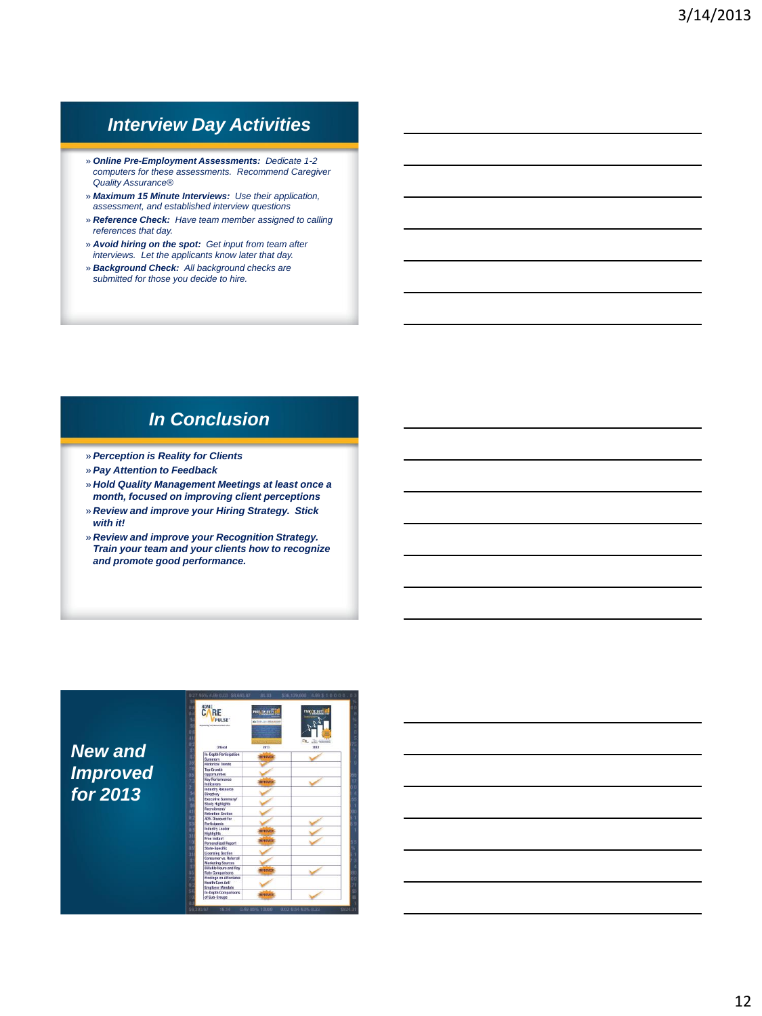### *Interview Day Activities*

- » *Online Pre-Employment Assessments: Dedicate 1-2 computers for these assessments. Recommend Caregiver Quality Assurance®*
- » *Maximum 15 Minute Interviews: Use their application, assessment, and established interview questions*
- » *Reference Check: Have team member assigned to calling references that day.*
- » *Avoid hiring on the spot: Get input from team after interviews. Let the applicants know later that day.*
- » *Background Check: All background checks are submitted for those you decide to hire.*

### *In Conclusion*

- » *Perception is Reality for Clients*
- » *Pay Attention to Feedback*
- » *Hold Quality Management Meetings at least once a month, focused on improving client perceptions*
- » *Review and improve your Hiring Strategy. Stick with it!*
- » *Review and improve your Recognition Strategy. Train your team and your clients how to recognize and promote good performance.*

*New and Improved for 2013*